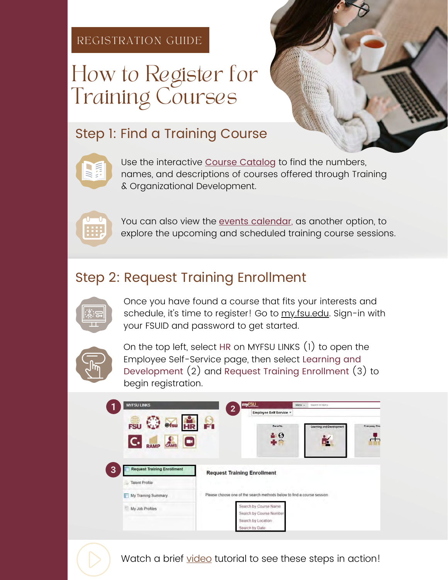#### REGISTRATION GUIDE

# How to Register for Training Courses

#### Step 1: Find a Training Course



Use the interactive <u>Course Catalo</u>g to find the numbers, names, and descriptions of courses offered through Training & Organizational Development.



You can also view the <u>events [calendar](https://calendar.fsu.edu/calendar?event_types[]=93411)</u>, as another option, to explore the upcoming and scheduled training course sessions.

## Step 2: Request Training Enrollment



Once you have found a course that fits your interests and schedule, it's ti[m](https://my.fsu.edu)e to register! Go to <u>m[y.fsu.ed](https://cas.fsu.edu/cas/login?service=https%3A%2F%2Fwww.my.fsu.edu%2Fkurogo_login%2Freturn%2Flogin%2Fprdcas)u</u>. Sign-in with your FSUID and password to get started.



On the top left, select HR on MYFSU LINKS (1) to open the Employee Self-Service page, then select Learning and Development (2) and Request Training Enrollment (3) to begin registration.

| <b>MYFSU LINKS</b>                      |                                                                         | my <sub>FSU</sub>                                                                        | Search in Menu<br>$Menu -$      |                     |  |  |
|-----------------------------------------|-------------------------------------------------------------------------|------------------------------------------------------------------------------------------|---------------------------------|---------------------|--|--|
|                                         | $\overline{2}$                                                          | <b>Employee Self Service *</b>                                                           |                                 |                     |  |  |
| HR<br>@fsu<br>FSI<br>$\Box$             | $\mathbf{r}$                                                            | <b>Benefits</b><br>$\bullet$ $\bullet$                                                   | <b>Learning and Development</b> | <b>Company Dire</b> |  |  |
| <b>Request Training Enrollment</b><br>3 | <b>Request Training Enrollment</b>                                      |                                                                                          |                                 |                     |  |  |
| <b>Talent Profile</b>                   | 1 . Chr (2)                                                             |                                                                                          |                                 |                     |  |  |
| My Training Summary                     | Please choose one of the search methods below to find a course session. |                                                                                          |                                 |                     |  |  |
| My Job Profiles                         |                                                                         | Search by Course Name<br>Search by Course Number<br>Search by Location<br>Search by Date |                                 |                     |  |  |

Watch a brief <u>[video](https://web.microsoftstream.com/video/9459b508-09f5-4843-bf1d-767a5ed95b71)</u> tutorial to see these steps in action!